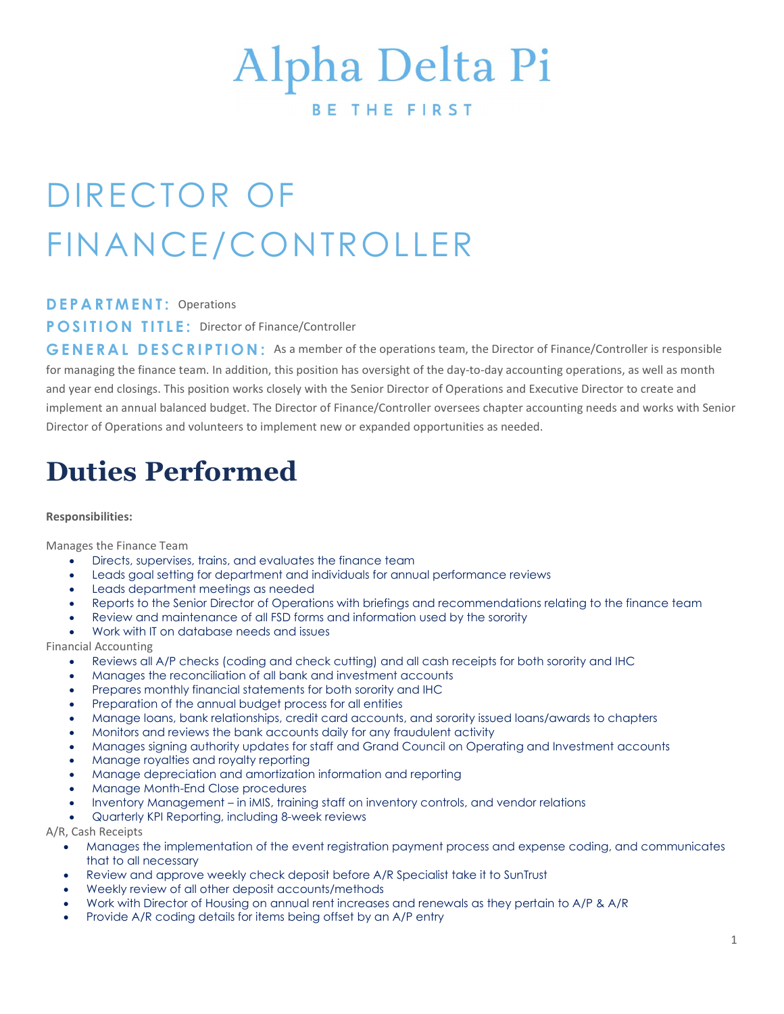# Alpha Delta Pi

**BETHEFIRST** 

## DIRECTOR OF FINANCE/CONTROLLER

D E P A R T M E N T: Operations

**POSITION TITLE: Director of Finance/Controller** 

GENERAL DESCRIPTION: As a member of the operations team, the Director of Finance/Controller is responsible for managing the finance team. In addition, this position has oversight of the day-to-day accounting operations, as well as month and year end closings. This position works closely with the Senior Director of Operations and Executive Director to create and implement an annual balanced budget. The Director of Finance/Controller oversees chapter accounting needs and works with Senior Director of Operations and volunteers to implement new or expanded opportunities as needed.

### Duties Performed

#### Responsibilities:

Manages the Finance Team

- Directs, supervises, trains, and evaluates the finance team
- Leads goal setting for department and individuals for annual performance reviews
- Leads department meetings as needed
- Reports to the Senior Director of Operations with briefings and recommendations relating to the finance team
- Review and maintenance of all FSD forms and information used by the sorority
- Work with IT on database needs and issues

Financial Accounting

- Reviews all A/P checks (coding and check cutting) and all cash receipts for both sorority and IHC
- Manages the reconciliation of all bank and investment accounts
- Prepares monthly financial statements for both sorority and IHC
- Preparation of the annual budget process for all entities
- Manage loans, bank relationships, credit card accounts, and sorority issued loans/awards to chapters
- Monitors and reviews the bank accounts daily for any fraudulent activity
- Manages signing authority updates for staff and Grand Council on Operating and Investment accounts
- Manage royalties and royalty reporting
- Manage depreciation and amortization information and reporting
- Manage Month-End Close procedures
- Inventory Management in iMIS, training staff on inventory controls, and vendor relations
- Quarterly KPI Reporting, including 8-week reviews

A/R, Cash Receipts

- Manages the implementation of the event registration payment process and expense coding, and communicates that to all necessary
- Review and approve weekly check deposit before A/R Specialist take it to SunTrust
- Weekly review of all other deposit accounts/methods
- Work with Director of Housing on annual rent increases and renewals as they pertain to A/P & A/R
- Provide A/R coding details for items being offset by an A/P entry